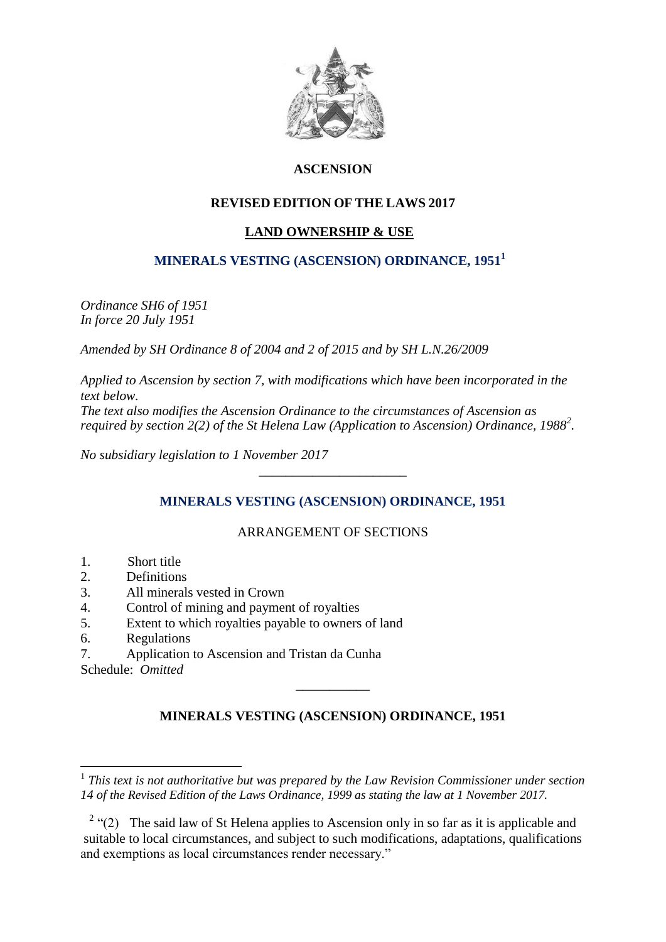

# **ASCENSION**

# **REVISED EDITION OF THE LAWS 2017**

## **LAND OWNERSHIP & USE**

# **MINERALS VESTING (ASCENSION) ORDINANCE, 1951<sup>1</sup>**

*Ordinance SH6 of 1951 In force 20 July 1951*

*Amended by SH Ordinance 8 of 2004 and 2 of 2015 and by SH L.N.26/2009*

*Applied to Ascension by section 7, with modifications which have been incorporated in the text below. The text also modifies the Ascension Ordinance to the circumstances of Ascension as required by section 2(2) of the St Helena Law (Application to Ascension) Ordinance, 1988<sup>2</sup> .*

*No subsidiary legislation to 1 November 2017*

## **MINERALS VESTING (ASCENSION) ORDINANCE, 1951**

*\_\_\_\_\_\_\_\_\_\_\_\_\_\_\_\_\_\_\_\_\_\_*

## ARRANGEMENT OF SECTIONS

- 1. Short title
- 2. Definitions
- 3. All minerals vested in Crown
- 4. Control of mining and payment of royalties
- 5. Extent to which royalties payable to owners of land
- 6. Regulations
- 7. Application to Ascension and Tristan da Cunha
- Schedule: *Omitted*

1

# **MINERALS VESTING (ASCENSION) ORDINANCE, 1951**

\_\_\_\_\_\_\_\_\_\_\_

<sup>&</sup>lt;sup>1</sup> This text is not authoritative but was prepared by the Law Revision Commissioner under section *14 of the Revised Edition of the Laws Ordinance, 1999 as stating the law at 1 November 2017.*

<sup>&</sup>lt;sup>2</sup> "(2) The said law of St Helena applies to Ascension only in so far as it is applicable and suitable to local circumstances, and subject to such modifications, adaptations, qualifications and exemptions as local circumstances render necessary."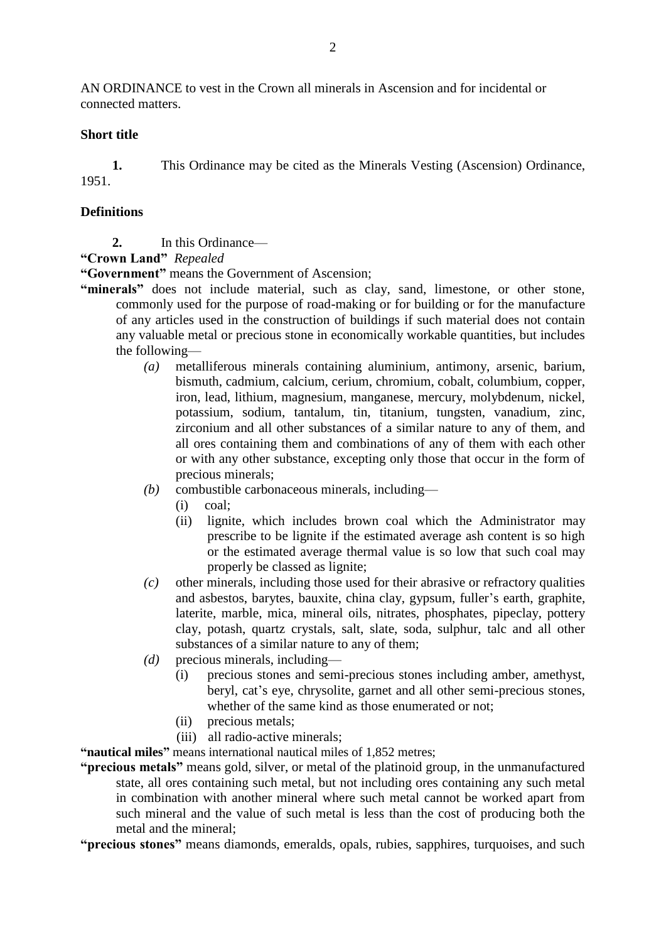AN ORDINANCE to vest in the Crown all minerals in Ascension and for incidental or connected matters.

#### **Short title**

**1.** This Ordinance may be cited as the Minerals Vesting (Ascension) Ordinance, 1951.

#### **Definitions**

- **2.** In this Ordinance—
- **"Crown Land"** *Repealed*

**"Government"** means the Government of Ascension;

- **"minerals"** does not include material, such as clay, sand, limestone, or other stone, commonly used for the purpose of road-making or for building or for the manufacture of any articles used in the construction of buildings if such material does not contain any valuable metal or precious stone in economically workable quantities, but includes the following—
	- *(a)* metalliferous minerals containing aluminium, antimony, arsenic, barium, bismuth, cadmium, calcium, cerium, chromium, cobalt, columbium, copper, iron, lead, lithium, magnesium, manganese, mercury, molybdenum, nickel, potassium, sodium, tantalum, tin, titanium, tungsten, vanadium, zinc, zirconium and all other substances of a similar nature to any of them, and all ores containing them and combinations of any of them with each other or with any other substance, excepting only those that occur in the form of precious minerals;
	- *(b)* combustible carbonaceous minerals, including—
		- (i) coal;
		- (ii) lignite, which includes brown coal which the Administrator may prescribe to be lignite if the estimated average ash content is so high or the estimated average thermal value is so low that such coal may properly be classed as lignite;
	- *(c)* other minerals, including those used for their abrasive or refractory qualities and asbestos, barytes, bauxite, china clay, gypsum, fuller's earth, graphite, laterite, marble, mica, mineral oils, nitrates, phosphates, pipeclay, pottery clay, potash, quartz crystals, salt, slate, soda, sulphur, talc and all other substances of a similar nature to any of them;
	- *(d)* precious minerals, including—
		- (i) precious stones and semi-precious stones including amber, amethyst, beryl, cat's eye, chrysolite, garnet and all other semi-precious stones, whether of the same kind as those enumerated or not;
		- (ii) precious metals;
		- (iii) all radio-active minerals;

**"nautical miles"** means international nautical miles of 1,852 metres;

**"precious metals"** means gold, silver, or metal of the platinoid group, in the unmanufactured state, all ores containing such metal, but not including ores containing any such metal in combination with another mineral where such metal cannot be worked apart from such mineral and the value of such metal is less than the cost of producing both the metal and the mineral;

**"precious stones"** means diamonds, emeralds, opals, rubies, sapphires, turquoises, and such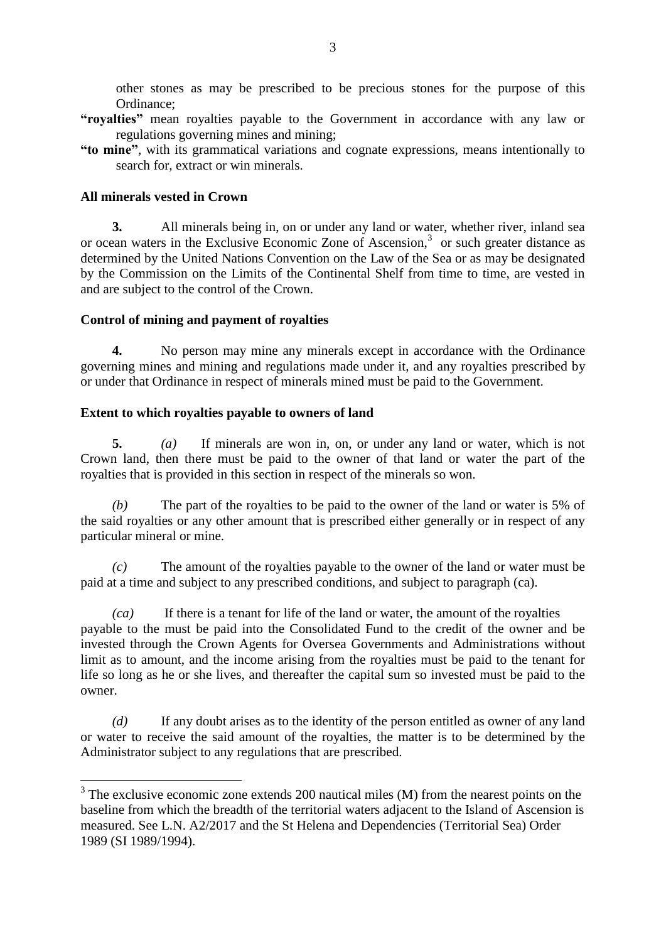other stones as may be prescribed to be precious stones for the purpose of this Ordinance;

- **"royalties"** mean royalties payable to the Government in accordance with any law or regulations governing mines and mining;
- **"to mine"**, with its grammatical variations and cognate expressions, means intentionally to search for, extract or win minerals.

### **All minerals vested in Crown**

**3.** All minerals being in, on or under any land or water, whether river, inland sea or ocean waters in the Exclusive Economic Zone of Ascension,<sup>3</sup> or such greater distance as determined by the United Nations Convention on the Law of the Sea or as may be designated by the Commission on the Limits of the Continental Shelf from time to time, are vested in and are subject to the control of the Crown.

### **Control of mining and payment of royalties**

**4.** No person may mine any minerals except in accordance with the Ordinance governing mines and mining and regulations made under it, and any royalties prescribed by or under that Ordinance in respect of minerals mined must be paid to the Government.

### **Extent to which royalties payable to owners of land**

**5.** *(a)* If minerals are won in, on, or under any land or water, which is not Crown land, then there must be paid to the owner of that land or water the part of the royalties that is provided in this section in respect of the minerals so won.

*(b)* The part of the royalties to be paid to the owner of the land or water is 5% of the said royalties or any other amount that is prescribed either generally or in respect of any particular mineral or mine.

*(c)* The amount of the royalties payable to the owner of the land or water must be paid at a time and subject to any prescribed conditions, and subject to paragraph (ca).

*(ca)* If there is a tenant for life of the land or water, the amount of the royalties payable to the must be paid into the Consolidated Fund to the credit of the owner and be invested through the Crown Agents for Oversea Governments and Administrations without limit as to amount, and the income arising from the royalties must be paid to the tenant for life so long as he or she lives, and thereafter the capital sum so invested must be paid to the owner.

*(d)* If any doubt arises as to the identity of the person entitled as owner of any land or water to receive the said amount of the royalties, the matter is to be determined by the Administrator subject to any regulations that are prescribed.

<sup>&</sup>lt;sup>3</sup>The exclusive economic zone extends 200 nautical miles (M) from the nearest points on the baseline from which the breadth of the territorial waters adjacent to the Island of Ascension is measured. See L.N. A2/2017 and the St Helena and Dependencies (Territorial Sea) Order 1989 (SI 1989/1994).